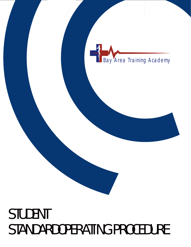# STUDENT STANDARDOPERATING PROCEDURE

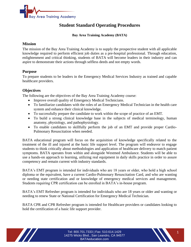

# **Student Standard Operating Procedures**

**Bay Area Training Academy (BATA)**

#### **Mission**

The mission of the Bay Area Training Academy is to supply the prospective student with all applicable knowledge required to perform efficient job duties as a pre-hospital professional. Through education, enlightenment and critical thinking, students of BATA will become leaders in their industry and can aspire to demonstrate their actions through selfless deeds and not empty words.

## **Purpose**

To prepare students to be leaders in the Emergency Medical Services Industry as trained and capable healthcare providers.

## **Objectives**

The following are the objectives of the Bay Area Training Academy course:

- Improve overall quality of Emergency Medical Technicians.
- To familiarize candidates with the roles of an Emergency Medical Technician in the health care system and enhance their clinical knowledge.
- To successfully prepare the candidate to work within the scope of practice of an EMT.
- To build a strong clinical knowledge base in the subjects of medical terminology, human anatomy, physiology, and pathophysiology.
- To enable candidates to skillfully perform the job of an EMT and provide proper Cardio-Pulmonary Resuscitation when needed.

BATA educational program will focus on the acquisition of knowledge specifically related to the treatment of the ill and injured at the basic life support level. The program will endeavor to engage students to think critically about methodologies and application of healthcare delivery to match patient symptoms. BATA operates from within and alongside Westmed Ambulance. Students will be able to use a hands-on approach to learning, utilizing real equipment in daily skills practice in order to assure competency and remain current with industry standards.

BATA's EMT program is intended for individuals who are 18 years or older, who hold a high school diploma or the equivalent, have a current Cardio-Pulmonary Resuscitation Card, and who are wanting or needing state certification and or knowledge of emergency medical services and management. Students requiring CPR certification can be enrolled in BATA's in-house program.

BATA's EMT Refresher program is intended for individuals who are 18 years or older and wanting or needing to renew State or National Certification for Emergency Medical Technician.

BATA CPR and CPR Refresher program is intended for Healthcare providers or candidates looking to hold the certification of a basic life support provider.

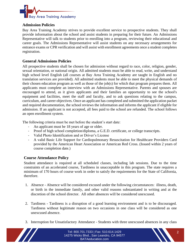

## **Admission Policies**

Bay Area Training Academy strives to provide excellent service to prospective students. They shall provide information about the school and assist students in preparing for their future. An Admissions Representative will talk to students prior to enrolling into a program, reviewing their educational and career goals. The Admissions Representative will assist students on any necessary arrangements for entrance exams or CPR verification and will assist with enrollment agreements once a student completes registration.

## **General Admissions Policies**

All prospective students shall be chosen for admission without regard to race, color, religion, gender, sexual orientation, or national origin. All admitted students must be able to read, write, and understand high school level English (all courses at Bay Area Training Academy are taught in English and no translation services are provided). All admitted students must be able to meet the physical demands of their chosen education program as well as those of the job(s) for which that program prepares them. All applicants must complete an interview with an Admissions Representative. Parents and spouses are encouraged to attend, as it gives applicants and their families an opportunity to see the school's equipment and facilities, meet the staff and faculty, and to ask questions relating to the campus, curriculum, and career objectives. Once an applicant has completed and submitted the application packet and required documentation, the school reviews the information and informs the applicant if eligible for admission. If an applicant is not accepted, all fees paid to the school are refunded. The school follows an open enrollment system.

The following criteria must be met before the student's start date:

- An applicant must be 18 years of age or older.
- Proof of high school completion/diploma, a G.E.D. certificate, or college transcripts.
- Valid Photo Identification and or Driver's License
- A valid Basic Life Support for Cardiopulmonary Resuscitation for Healthcare Providers Card provided by the American Heart Association or American Red Cross. (Issued within 2 years of course completion date.)

## **Course Attendance Policy**

Student attendance is required at all scheduled classes, including lab sessions. Due to the time constraints of an accelerated course, Tardiness in unacceptable in this program. The state requires a minimum of 170 hours of course work in order to satisfy the requirements for the State of California, therefore.

- 1. Absence Absence will be considered excused under the following circumstances: illness, death, or birth in the immediate family, and other valid reasons substantiated in writing and at the discretion of the school director. All other absences will be considered unexcused.
- 2. Tardiness Tardiness is a disruption of a good learning environment and is to be discouraged. Tardiness without legitimate reason on two occasions in one class will be considered as one unexcused absence.
- 3. Interruption for Unsatisfactory Attendance Students with three unexcused absences in any class

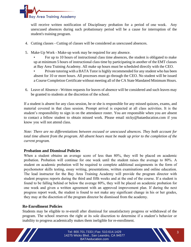

will receive written notification of Disciplinary probation for a period of one week. Any unexcused absences during such probationary period will be a cause for interruption of the student's training program.

- 4. Cutting classes Cutting of classes will be considered as unexcused absences.
- 5. Make-Up Work Make-up work may be required for any absence.
	- For up to 10 hours of instructional class time absences, the student is obligated to make up at minimum 5 hours of instructional class time by participating in another of the EMT classes at Bay Area Training Academy. All make up hours must be scheduled directly with the CEO.

• Private tutoring with a BATA Tutor is highly recommended for any student who has been absent for 10 or more hours. All processes must go through the CEO. No student will be issued a Course Completion Certificate without meeting all of the CA State Mandated Minimum Hours.

6. Leave of Absence - Written requests for leaves of absence will be considered and such leaves may be granted to students at the discretion of the school.

If a student is absent for any class session, he or she is responsible for any missed quizzes, exams, and material covered in that class session. Prompt arrival is expected at all class activities. It is the student's responsibility to sign in on the attendance roster. You are responsible when you are absent to contact a fellow student to obtain missed work. Please email nicky@bataeducation.com if you know you will not attend class.

*Note: There are no differentiations between excused or unexcused absences. They both account for total time absent from the program. All absent hours must be made up prior to the completion of the current program.* 

## **Probation and Dismissal Policies**

When a student obtains an average score of less than 80%, they will be placed on academic probation. Probation will continue for one week until the student raises the average to 80%. A student on academic probation will be required to complete additional assignments in the form of psychomotor skills testing, essay writing, presentations, written examinations and online education. The lead instructor for the Bay Area Training Academy will provide the program director with student progress reports during the third and fifth weeks and at the end of the course. If a student is found to be falling behind or below the average 80%, they will be placed on academic probation for one week and given a written agreement with an approved improvement plan. If during the next progress report week, the student is found to not make any significant change in his or her grades, they may at the discretion of the program director be dismissed from the academy.

## **Re-Enrollment Policies**

Students may be eligible to re-enroll after dismissal for unsatisfactory progress or withdrawal of the program. The school reserves the right at its sole discretion to determine if a student's behavior or inability to progress academically makes them ineligible for re-enrollment.



Tel: 800.701.7333 | Fax: 510.614.1429 3 14275 Wicks Blvd., San Leandro, CA 94577 BATAeducation.com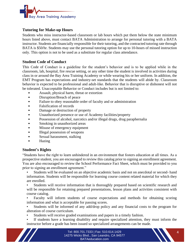

## **Tutoring for Make-up Hours**

Students who miss instructor-based classroom or lab hours which put them below the state minimum hours listed above, must contact BATA Administration to arrange for personal tutoring with a BATA instructor. Students are financially responsible for their tutoring, and the contracted tutoring rate through BATA is \$50/hr. Students may use the personal tutoring option for up to 10-hours of missed instruction only. This option is not to be used as a substitute for regular class attendance.

## **Student Code of Conduct**

This Code of Conduct is a guideline for the student's behavior and is to be applied while in the classroom, lab, hospital, fire rescue setting, or any other time the student is involved in activities during class in or around the Bay Area Training Academy or while wearing his or her uniform. In addition, the EMT Program has expectations and industry-set standards that the students will abide by. Classroom behavior is expected to be professional and adult-like. Behavior that is disruptive or dishonest will not be tolerated. Unacceptable Behavior or Conduct includes but is not limited to:

- Assault, physical harm, threat or extortion
- Disruption/Breach of peace
- Failure to obey reasonable order of faculty and or administration
- Falsification of records
- Damage or destruction of property
- Unauthorized presence or use of Academy facilities/property
- Possession of alcohol, narcotics and/or illegal drugs, drug paraphernalia
- Smoking in unauthorized areas
- Misuse of emergency equipment
- Illegal possession of weapons
- Sexual harassment, stalking
- Hazing

## **Student's Rights**

"Students have the right to learn unhindered in an environment that fosters education at all times. As a prospective student, you are encouraged to review this catalog prior to signing an enrollment agreement. You are also encouraged to review the School Performance Fact Sheet, which must be provided to you prior to signing an enrollment agreement."

Students will be evaluated on an objective academic basis and not on anecdotal or second- hand information. Students will be responsible for learning course content related material for which they are enrolled.

Students will receive information that is thoroughly prepared based on scientific research and will be responsible for retaining prepared presentations, lesson plans and activities consistent with course catalog.

Faculty will inform students of course expectations and methods for obtaining scoring information and what is acceptable for passing scores.

Students will be informed of any add/drop policy and any financial costs to the program for alteration of course curriculum.

- Students will receive graded examinations and papers in a timely fashion.
- If students have a learning disability and require specialized attention, they must inform the instructor before a grade has been issued so specialized arrangements can be made.

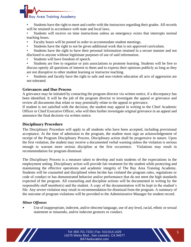

- Students have the right to meet and confer with the instructors regarding their grades. All records will be retained in accordance with state and local laws.
- Students will receive on time instructions unless an emergency exists that interrupts normal teaching hours.
- Faculty hours will be posted in order to accommodate student meetings.
- Students have the right to not be given additional work that is not approved curriculum.
- Students have the right to have their personal information retained in a secure manner and not disclosed to anyone without legitimate purposes of use of said information.
- Students will have freedom of speech.
- Students are free to organize or join associations to promote learning. Students will be free to discuss openly all questions of interest to them and to express their opinions publicly as long as they are not disruptive to other student learning or instructor teaching.
- Students and faculty have the right to safe and non-violent education all acts of aggression are not tolerated.

## **Grievances and Due Process**

A grievance may be initiated by contacting the program director via written notice, if a discrepancy has been identified. It will be the job of the program director to investigate the appeal or grievance and review all documents that relate or may potentially relate to the appeal or grievance.

If student is not satisfied with the decision, the student may appeal in writing to the Chief Academic Officer or Chief Executive Officer, who will then further investigate original grievance in an appeal and announce the final decision via written notice.

## **Disciplinary Procedure**

The Disciplinary Procedure will apply to all students who have been accepted, including provisional acceptance. At the time of admission to the program, the student must sign an acknowledgement of receipt of the Program Disciplinary Process. Disciplinary action shall be progressive in nature. Upon the first violation, the student may receive a documented verbal warning unless the violation is serious enough to warrant more serious discipline at the first occurrence. Violations may result in recommendation for program dismissal.

The Disciplinary Process is a measure taken to develop and train students of the expectations in the employment setting. Disciplinary action will provide fair treatment for the student while protecting and maintaining the effective operations and academic integrity of The Bay Area Training Academy. Students will be counseled and disciplined when he/she has violated the program rules, regulations or code of conduct or has demonstrated behavior and/or performance that do not meet the high standards expected of the program. All counseling and discipline actions will be documented in writing by the responsible staff member(s) and the student. A copy of the documentation will be kept in the student's file. Any severe violation may result in recommendation for dismissal from the program. A summary of the outcome of program violations will be provided to the Administrative Manager for student record.

## *Minor Offenses*

Use of inappropriate, indecent, and/or obscene language, use of any lewd, racial, ethnic or sexual statement or innuendo, and/or indecent gestures or conduct.

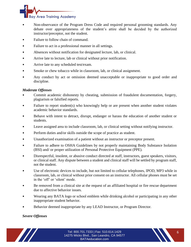

- Non-observance of the Program Dress Code and required personal grooming standards. Any debate over appropriateness of the student's attire shall be decided by the authorized instructor/preceptor, not the student.
- Failure to follow chain of command.
- Failure to act in a professional manner in all settings.
- Absences without notification for designated lecture, lab, or clinical.
- Arrive late to lecture, lab or clinical without prior notification.
- Arrive late to any scheduled test/exam.
- Smoke or chew tobacco while in classroom, lab, or clinical assignment.
- Any conduct by act or omission deemed unacceptable or inappropriate to good order and discipline.

## *Moderate Offenses*

- Commit academic dishonesty by cheating, submission of fraudulent documentation, forgery, plagiarism or falsified reports.
- Failure to report student(s) who knowingly help or are present when another student violates academic behavior standards.
- Behave with intent to detract, disrupt, endanger or harass the education of another student or students.
- Leave assigned area to include classroom, lab, or clinical setting without notifying instructor.
- Perform duties and/or skills outside the scope of practice as student.
- Unauthorized examination of a patient without an instructor or preceptor present.
- Failure to adhere to OSHA Guidelines by not properly maintaining Body Substance Isolation (BSI) and/ or proper utilization of Personal Protective Equipment (PPE).
- Disrespectful, insolent, or abusive conduct directed at staff, instructors, guest speakers, visitors, or clinical staff. Any dispute between a student and clinical staff will be settled by program staff, not the student.
- Use of electronic devices to include, but not limited to cellular telephones, IPOD, MP3 while in classroom, lab, or clinical without prior consent on an instructor. All cellular phones must be set in the 'off' or 'silent' mode.
- Be removed from a clinical site at the request of an affiliated hospital or fire rescue department due to affective behavior issues.
- Wearing any BATA logo or school emblem while drinking alcohol or participating in any other inappropriate student behavior.
- Behavior deemed inappropriate by any LEAD Instructor, or Program Director.

*Severe Offenses*

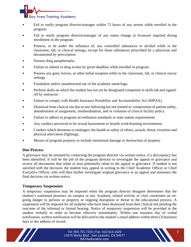

- Fail to notify program director/manager within 72 hours of any arrests while enrolled in the program.
- Fail to notify program director/manager of any status change in licensure required during enrollment in the program.
- Possess, or be under the influence of, any controlled substances or alcohol while in the classroom, lab, or clinical settings, except for those substances prescribed by a physician and documented by prescription.
- Possess drug paraphernalia.
- Failure to submit to drug screen by given deadline while enrolled in program.
- Possess any guns, knives, or other lethal weapons while in the classroom, lab, or clinical rescue settings.
- Fraudulent and/or unauthorized use of the academy name/logo.
- Perform skills on which the student has not yet be designated competent in skills lab and signedoff by instructor.
- Failure to comply with Health Insurance Portability and Accountability Act (HIPAA).
- Dismissal from clinical site due to one following but not limited to: compromise of patient safety, abandonment of assignment, insubordination, and or violation of clinical facility policy.
- Failure to adhere to program accreditation standards or state statute requirements.
- Any conduct perceived to be sexual harassment or hostile work/learning environment.
- Conduct which threatens or endangers the health or safety of others, assault, threat, extortion and physical altercation (fighting).
- Misuse of program property to include intentional damage or destruction of property.

## **Due Process**

A grievance may be initiated by contacting the program director via written notice, if a discrepancy has been identified. It will be the job of the program director to investigate the appeal or grievance and review all documents that relate or may potentially relate to the appeal or grievance. If student is not satisfied with the decision, the student may appeal in writing to the Chief Academic Officer or Chief Executive Officer, who will then further investigate original grievance in an appeal and announce the final decision via written notice.

## **Temporary Suspension**

A temporary suspension may be imposed when the program director designee determines that the student's continued presence on campus or any Academy related activity or class constitutes an ongoing danger to persons or property or ongoing disruption or threat to the educational process. A suspension will be imposed for all students who have been dismissed from their clinical site pending the outcome of the informal or formal hearing. Notice of temporary suspension will be provided to the student verbally in order to become effective immediately. Within one business day of verbal notification, written notification will be delivered to the student's email address within three (3) business days to the address of record.



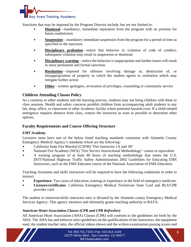

Sanctions that may be imposed by the Program Director include, but are not limited to:

- **Dismissal**—mandatory, immediate separation from the program with no promise for future readmission
- **Suspension**—mandatory immediate suspension from the program for a period of time as specified in the sanctions
- **Disciplinary probation**—notice that behavior in violation of code of conduct; subsequent violation may result in suspension or dismissal
- **Disciplinary warning—notice the behavior is inappropriate and further issues will result** in more permanent and formal sanctions
- **Restitution**—imposed for offenses involving damage to, destruction of, or misappropriation of property in which the student agrees to restitution which may mitigate further action
- **Other—written apologies, revocation of privileges, counseling or community service**

# **Children Attending Classes Policy**

As a courtesy to other students and the learning process, students may not bring children with them to class sessions. Health and safety concerns prohibit children from accompanying adult students in any lab, shop, office, or classroom or other Academy facility where potential hazards exist. If a child-related emergency requires absence from class, contact the instructor as soon as possible to determine other options.

# **Faculty Requirements and Course Offering Structure**

## *EMT Academy*

Lecturers must have one of the below listed teaching standards consistent with Alameda County Emergency Medical Agency's standards which are the following:

- California State Fire Marshal (CSFM) "Fire Instructor 1A and 1B"
- National Fire Academy (NFA) "Fire Service Instructional Methodology" course or equivalent
- A training program of at least 40 hours of teaching methodology that meets the U.S. DOT/National Highway Traffic Safety Administration 2002 Guidelines for Educating EMS Instructors, such as the EMS Educator course of the National Association of EMS Educators

Teaching Assistants and skills instructors will be required to have the following credentials in order to instruct.

- **Experience**: Two years of education, training or experience in the field of emergency medicine.
- **Licenses/certificates**: California Emergency Medical Technician State Card and BLS/CPR provider card.

The student to instructor/skills instructor ratio is dictated by the Alameda county Emergency Medical Services Agency. This agency monitors and ultimately grants teaching authority to BATA.

## *American Heart Association Classes (CPR and CPR Refresher)*

All American Heart Association (AHA) Classes (CPR) will conform to the guidelines set forth by the AHA. The AHA has and enforces strict guidelines on the qualifications of the instructors, the equipment used, the student teacher ratio, the official videos shown and the written examination passing scores and

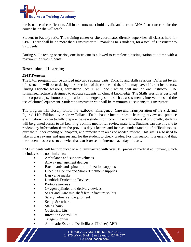

the issuance of certification. All instructors must hold a valid and current AHA Instructor card for the course he or she will teach.

Student to Faculty ratio: The training center or site coordinator directly supervises all classes held for CPR. There shall be no more than 1 instructor to 3 manikins to 3 students, for a total of 1 instructor to 9 students.

During skills testing scenarios, one instructor is allowed to complete a testing station at a time with a maximum of two students.

## **Description of Learning**

#### *EMT Program*

The EMT program will be divided into two separate parts: Didactic and skills sessions. Different levels of instruction will occur during these sections of the course and therefore may have different instructors. During Didactic sessions, formalized lecture will occur which will include one instructor. The formalized lecture is designed to educate students on clinical knowledge. The Skills session is designed to incorporate psychomotor application of emergency skills such as assessments, interventions and the use of clinical equipment. Student to instructor ratio will be maximum 10 students to 1 instructor.

The program will closely follow the textbook "Emergency: Care and Transportation of the Sick and Injured 11th Edition" by Andrew Pollack. Each chapter incorporates a learning review and practice examination in order to fully prepare the new student for upcoming examinations. Additionally, students will be granted access to JB Learning's online media-rich review materials. Students can use this site to review key information from the previous day's lecture and increase understanding of difficult topics, quiz their understanding on chapters, and remediate in areas of needed review. This site is also used to take in class exams and quizzes and for the student to check grades. For this reason, it is essential that the student has access to a device that can browse the internet each day of class.

EMT students will be introduced to and familiarized with over 50+ pieces of medical equipment, which includes but is not limited to:

- Ambulance and support vehicles
- Airway management devices
- Backboards and spinal immobilization supplies
- Bleeding Control and Shock Treatment supplies
- Bag valve masks
- **Kendrick Extrication Devices**
- Portable gurneys
- Oxygen cylinder and delivery devices
- Sager and Hare mid shaft femur fracture splints
- Safety helmets and equipment
- Scoop Stretchers
- Stair Chairs
- Obstetrical kits
- **Infection Control kits**
- Triage Supplies
- Automatic External Defibrillator (Trainer) AED



Tel: 800.701.7333 | Fax: 510.614.1429 14275 Wicks Blvd., San Leandro, CA 94577 BATAeducation.com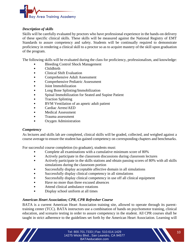

## *Description of skills*

Skills will be carefully evaluated by proctors who have professional experience in the hands-on delivery of these specific clinical skills. These skills will be measured against the National Registry of EMT Standards to assure competency and safety. Students will be continually required to demonstrate proficiency in rendering a clinical skill to a proctor so as to acquire mastery of the skill upon graduation of the program.

The following skills will be evaluated during the class for proficiency, professionalism, and knowledge:

- Bleeding Control Shock Management
- Childbirth
- Clinical Shift Evaluation
- Comprehensive Adult Assessment
- Comprehensive Pediatric Assessment
- Joint Immobilization
- Long Bone Splinting/Immobilization
- Spinal Immobilization for Seated and Supine Patient
- Traction Splinting
- BVM Ventilation of an apneic adult patient
- Cardiac Arrest/AED
- Medical Assessment
- Trauma assessment
- Oxygen Administration

## *Competency*

As lectures and skills lab are completed, clinical skills will be graded, collected, and weighed against a course average to ensure the student has gained competency on corresponding chapters and benchmarks.

For successful course completion (to graduate), students must:

- Complete all examinations with a cumulative minimum score of 80%
- Actively participate in the classroom discussions during classroom lectures
- Actively participate in the skills stations and obtain passing scores of 80% with all skills simulations during the classroom portion
- Successfully display acceptable affective domain in all simulations
- Successfully display clinical competency in all simulations
- Successfully display clinical competency in use off all clinical equipment
- Have no more than three excused absences
- Attend clinical ambulance rotations
- Display school uniform at all times

## *American Heart Association; CPR, CPR Refresher Course*

BATA is a current American Heart Association training site, allowed to operate through its parenttraining center (TCC). BATA instructors use a combination of hands on psychomotor training, clinical education, and scenario testing in order to assure competency in the student. All CPR courses shall be taught in strict adherence to the guidelines set forth by the American Heart Association. Learning will

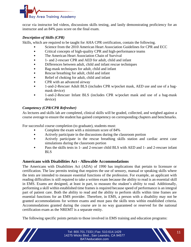

occur via instructor led videos, discussions skills testing, and lastly demonstrating proficiency for an instructor and an 84% pass score on the final exam.

## *Description of Skills (CPR)*

Skills, which are required to be taught for AHA CPR certification, contain the following.

- Science from the 2010 American Heart Association Guidelines for CPR and ECC
- Critical concepts of high-quality CPR and high-performance teams
- The American Heart Association Chain of Survival
- 1- and 2-rescuer CPR and AED for adult, child and infant
- Differences between adult, child and infant rescue techniques
- Bag-mask techniques for adult, child and infant
- Rescue breathing for adult, child and infant
- Relief of choking for adult, child and infant
- CPR with an advanced airway
- 1-and-2-Rescuer Adult BLS (includes CPR w/pocket mask, AED use and use of a bagmask device)
- 1-and-2-Rescuer Infant BLS (includes CPR w/pocket mask and use of a bag-mask device)

## *Competency (CPR/CPR Refresher)*

As lectures and skills lab are completed, clinical skills will be graded, collected, and weighed against a course average to ensure the student has gained competency on corresponding chapters and benchmarks.

For successful course completion (to graduate), students must:

- Complete the exam with a minimum score of 84%
- Actively participate in the discussions during the classroom portion
- Actively participate in the rescue breathing skills station and cardiac arrest case simulations during the classroom portion
- Pass the skills tests in 1- and 2-rescuer child BLS with AED and 1- and 2-rescuer infant BLS

## **Americans with Disabilities Act - Allowable Accommodations**

The Americans with Disabilities Act (ADA) of 1990 has implications that pertain to licensure or certification. The law permits testing that requires the use of sensory, manual or speaking skills where the tests are intended to measure essential functions of the profession. For example, an applicant with reading difficulties is still required to take a written exam because the ability to read is an essential skill in EMS. Exams are designed, at least in part, to measure the student's ability to read. Additionally, performing a skill within established time frames is required because speed of performance is an integral part of patient care. Both the ability to read and the ability to perform skills within time frames are essential functions for an EMS provider. Therefore, in EMS, a person with a disability may not be granted accommodations for written exams and must pass the skills tests within established criteria. Accommodations granted during the course are in no way guaranteed or reserved for the national certification exam as the NREMT is a separate entity.

The following specific points pertain to those involved in EMS training and education programs:

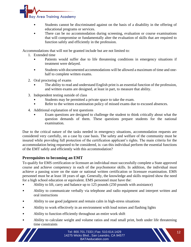

- Students cannot be discriminated against on the basis of a disability in the offering of educational programs or services.
- There can be no accommodation during screening, evaluation or course examinations that will compromise or fundamentally alter the evaluation of skills that are required to function safely and efficiently in the profession.

Accommodations that will not be granted include but are not limited to:

- 1. Extended time
	- Patients would suffer due to life threatening conditions in emergency situations if treatment were delayed.
	- Students with documented accommodations will be allowed a maximum of time and onehalf to complete written exams.
- 2. Oral proctoring of exams
	- The ability to read and understand English print is an essential function of the profession, and written exams are designed, at least in part, to measure that ability.
- 3. Independent testing outside of class
	- Students may be permitted a private space to take the exam.
	- Refer to the written examination policy of missed exams due to excused absences.
- 4. Additional explanation of test questions
	- Exam questions are designed to challenge the student to think critically about what the question demands of them. These questions prepare students for the national examination.

Due to the critical nature of the tasks needed in emergency situations, accommodation requests are considered very carefully, on a case by case basis. The safety and welfare of the community must be insured while providing full protection of the certification applicant's rights. The main criteria for the accommodation being requested to be considered, is: can this individual perform the essential functions of the EMT safely and efficiently with this accommodation?

# **Prerequisites to becoming an EMT**

To qualify for EMS certification or licensure an individual must successfully complete a State approved course and achieve competency in each of the psychomotor skills. In addition, the individual must achieve a passing score on the state or national written certification or licensure examination. EMS personnel must be at least 18 years of age. Generally, the knowledge and skills required show the need for a high school education or equivalent. EMS personnel must have the:

- Ability to lift, carry and balance up to 125 pounds (250 pounds with assistance)
- Ability to communicate verbally via telephone and radio equipment and interpret written and oral instructions
- Ability to use good judgment and remain calm in high-stress situations
- Ability to work effectively in an environment with loud noises and flashing lights
- Ability to function efficiently throughout an entire work shift
- Ability to calculate weight and volume ratios and read small print, both under life threatening time constraints

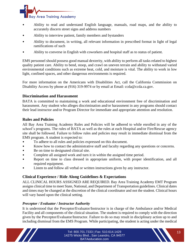

- Ability to read and understand English language, manuals, road maps, and the ability to accurately discern street signs and address numbers
- Ability to interview patient, family members and bystanders
- Ability to document, in writing, all relevant information in prescribed format in light of legal ramifications of such
- Ability to converse in English with coworkers and hospital staff as to status of patient.

EMS personnel should possess good manual dexterity, with ability to perform all tasks related to highest quality patient care. Ability to bend, stoop, and crawl on uneven terrain and ability to withstand varied environmental conditions such as extreme heat, cold, and moisture is vital. The ability to work in low light, confined spaces, and other dangerous environments is required.

For more information on the Americans with Disabilities Act, call the California Commission on Disability Access by phone at (916) 319-9974 or by email at Email: ccda@ccda.ca.gov.

# **Discrimination and Harassment**

BATA is committed to maintaining a work and educational environment free of discrimination and harassment. Any student who alleges discrimination and/or harassment in any programs should contact their lead instructor and/or Program Director for immediate and appropriate attention and resolution.

# **Rules and Policies**

All Bay Area Training Academy Rules and Policies will be adhered to while enrolled in any of the school's programs. The rules of BATA as well as the rules at each Hospital and/or Fire/Rescue agency site shall be followed. Failure to follow rules and policies may result in immediate dismissal from the EMS program. A student is expected to:

- To adhere to all rules and policies expressed on this document.
- Know how to contact the administrative staff and faculty regarding any questions or concerns.
- Be on time to designated clinical site.
- Complete all assigned work and turn it in within the assigned time period.
- Report on time to class dressed in appropriate uniform, with proper identification, and all required equipment.
- Listen to and follow all verbal or written instructions given by any instructor.

# **Clinical Experience / Ride Along Guidelines & Expectations**

ALL CLINICAL HOURS ASSIGNED ARE REQUIRED. Bay Area Training Academy EMT Program assigns clinical time to meet State, National, and Department of Transportation guidelines. Clinical dates and times may be changed at the discretion of the clinical coordinator and not the student. Clinical hours will vary based upon the clinical setting.

# *Preceptor / Evaluator / Instructor Authority*

It is understood that the Preceptor/Evaluator/Instructor is in charge of the Ambulance and/or Medical Facility and all components of the clinical situation. The student is required to comply with the direction given by the Preceptor/Evaluator/Instructor. Failure to do so may result in disciplinary action up to and including dismissal from the EMS Program. While participating, the student is acting under the medical

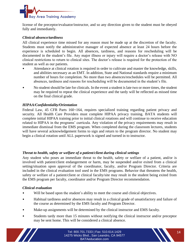

license of the preceptor/evaluator/instructor, and so any direction given to the student must be obeyed fully and immediately.

## *Clinical absence/tardiness*

All clinical experience time missed for any reason must be made up at the discretion of the faculty. Students must notify the administrative manager of expected absence at least 24 hours before the experience is scheduled to begin. All absences, tardiness, and reasons for rescheduling will be documented in the student's file. Any major illness or injury will require a doctor's release with NO clinical restrictions to return to clinical sites. The doctor's release is required for the protection of the student as well as our patients.

- Attendance at clinical rotation is required in order to cultivate and master the knowledge, skills, and abilities necessary as an EMT. In addition, State and National standards require a minimum number of hours for completion. No more than two absences/reschedules will be permitted. All absences, tardiness and reasons for rescheduling will be documented in the student's file.
- No student should be late for clinicals. In the event a student is late two or more times, the student may be required to repeat the clinical experience and the tardy will be reflected as missed time on the final clinical grade.

## *HIPAA/Confidentiality/Orientation*

Federal Law, 45 CFR Parts 160¬164, requires specialized training regarding patient privacy and security. All Health Care Providers must complete HIPAA privacy training. BATA students will complete initial HIPAA training prior to initial clinical rotations and will continue to receive education related to HIPAA in the programs' curricula. Any violation of the privacy requirements may result in immediate dismissal from the EMS program. When completed during the classroom lectures, students will have several acknowledgement forms to sign and return to the program director. No student may begin a clinical rotation until ALL paperwork is signed and turned in to instructor.

## *Threat to health, safety or welfare of a patient/client during clinical settings*

Any student who poses an immediate threat to the health, safety or welfare of a patient, and/or is involved with patient/client endangerment or harm, may be suspended and/or exited from a clinical setting/situation upon approval of the coordinator, faculty, and/or Program Director. Criteria are included in the clinical evaluation tool used in the EMS programs. Behavior that threatens the health, safety or welfare of a patient/client or clinical faculty/site may result in the student being exited from the EMS program per faculty, coordinator and/or Program Director recommendation.

## *Clinical evaluation*

- Will be based upon the student's ability to meet the course and clinical objectives.
- Habitual tardiness and/or absences may result in a clinical grade of unsatisfactory and failure of the course as determined by the EMS faculty and Program Director.
- Make-up assignments will be determined by the clinical instructor and EMS faculty.
- Students tardy more than 15 minutes without notifying the clinical instructor and/or preceptor may be sent home. This will be considered a clinical absence.



Tel: 800.701.7333 | Fax: 510.614.1429 14 14275 Wicks Blvd., San Leandro, CA 94577 BATAeducation.com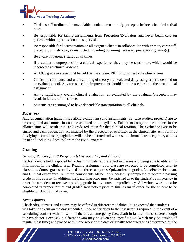

- Tardiness: If tardiness is unavoidable, students must notify preceptor before scheduled arrival time.
- Be responsible for taking assignments from Preceptors/Evaluators and never begin care on patients without permission and supervision.
- Be responsible for documentation on all assigned clients in collaboration with primary care staff, preceptor, or instructor, as instructed, including obtaining necessary preceptor signature(s).
- Be aware of patient's status at all times.
- If a student is unprepared for a clinical experience, they may be sent home, which would be recorded as a clinical absence.
- An 80% grade average must be held by the student PRIOR to going to the clinical area.
- Clinical performance and understanding of theory are evaluated daily using criteria detailed on an evaluation tool. Any areas needing improvement should be addressed prior to the next clinical assignment.
- Any unsatisfactory overall clinical evaluation, as evaluated by the evaluator/preceptor, may result in failure of the course.
- Students are encouraged to have dependable transportation to all clinicals.

## *Paperwork*

ALL documentation (patient ride along evaluations) and assignments (i.e. case studies, projects) are to be completed and turned in on time as listed in the syllabus. Failure to complete these items in the allotted time will result in a 50% grade reduction for that clinical rotation. The evaluations are to be signed and each patient contact initialed by the preceptor or evaluator at the clinical site. Any form of falsifying documents or plagiarism will not be tolerated and will result in immediate disciplinary actions up to and including dismissal from the EMS Program.

# **Grading**

## *Grading Policies for all Programs (classroom, lab, and clinical)*

Each student is held responsible for learning material presented in classes and being able to utilize this information in the clinical area. Reading assignments for class are expected to be completed prior to class time. Course grades are divided into three categories: Quiz and exam grades, Labs/Professionalism, and Clinical experience. All three components MUST be successfully completed to obtain a passing grade in this course. In addition, the Lead Instructor must be satisfied as to the student's competency in order for a student to receive a passing grade in any course or proficiency. All written work must be completed in proper format and graded satisfactory prior to final exam in order for the student to be eligible to take the final exam.

## *Exams/quizzes*

Check offs, quizzes, and exams may be offered in different modalities. It is expected that students will take the exam on the day scheduled. Prior notification to the instructor is required in the event of a scheduling conflict with an exam. If there is an emergency (i.e., death in family, illness severe enough to have doctor's excuse), a different exam may be given at a specific time (which may be outside of regular class time) and placed within one week of the date originally scheduled or as determined by the

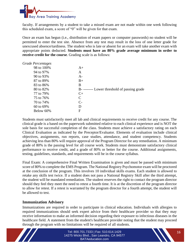

faculty. If arrangements by a student to take a missed exam are not made within one week following this scheduled exam, a score of "0" will be given for that exam.

Once an exam has begun (i.e., distribution of exam papers or computer passwords) no student will be permitted to enter the test site. Absence from any test may result in the loss of one letter grade for unexcused absence/tardiness. The student who is late or absent for an exam will take another exam with appropriate points deducted. **Students must have an 80% grade average minimum in order to receive credit for the course**. Grading scale is as follows:

| <b>Grade Percentages</b> |                                             |
|--------------------------|---------------------------------------------|
| 98 to 100%               | $A+$                                        |
| 94 to 97%                | A                                           |
| 90 to 93%                | $A -$                                       |
| 87 to 89%                | $B+$                                        |
| 83 to 86%                | B                                           |
| 80 to 82%                | B--------- Lower threshold of passing grade |
| 77 to 79%                | $C+$                                        |
| 75 to 76%                | C                                           |
| 70 to 74%                | $C-$                                        |
| 60 to 69%                | D                                           |
| Below 60%                | F                                           |
|                          |                                             |

Students must satisfactorily meet all lab and clinical requirements to receive credit for any course. The clinical grade is a based on the paperwork submitted relative to each clinical experience and is NOT the sole basis for successful completion of the class. Students must achieve a satisfactory rating on each Clinical Evaluation as indicated by the Preceptor/Evaluator. Elements of evaluation include clinical objectives, assignments, run reports, case studies, attendance, and student competency. Students achieving less than 80% will require approval of the Program Director for any remediation. A minimum grade of 80% is the passing level for all course work. Students must demonstrate satisfactory clinical performance to receive credit, and a grade of 80% or better for the course. Additional assignments, testing, guidelines, standards, and requirements will be in the course syllabus.

Final Exam: A comprehensive Final Written Examination is given and must be passed with minimum score of 80% to complete the EMS Program. The National Registry Psychomotor exam will be proctored at the conclusion of the program. This involves 10 individual skills exams. Each student is allowed to retake any skills test twice. If a student does not pass a National Registry Skill after the third attempt, the student will be mandated remediation. The student reserves the right to contact the program director should they feel they meet the need to retest a fourth time. It is at the discretion of the program director to allow for retest. If a retest is warranted by the program director for a fourth attempt, the student will be allowed to test.

## **Immunization Advisory**

Immunizations are required in order to participate in clinical education. Individuals with allergies to required immunizations should seek expert advice from their healthcare provider so that they may receive information to make an informed decision regarding their exposure to infectious diseases in the healthcare field. A statement from the student's healthcare provider noting that the student may proceed through the program with no limitations will be required of all students.

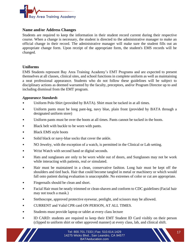

## **Name and/or Address Changes**

Students are required to keep the information in their student record current during their respective course. When a change is necessary, the student is directed to the administrative manager to make an official change in their record. The administrative manager will make sure the student fills out an appropriate change form. Upon receipt of the appropriate form, the student's EMS records will be changed.

## **Uniforms**

EMS Students represent Bay Area Training Academy's EMT Programs and are expected to present themselves at all classes, clinical sites, and school functions in complete uniform as well as maintaining a neat professional appearance. Students who do not follow these guidelines will be subject to disciplinary actions as deemed warranted by the faculty, preceptors, and/or Program Director up to and including dismissal from the EMT program.

#### *Appearance Standards*

- Uniform Polo Shirt (provided by BATA). Shirt must be tucked in at all times.
- Uniform pants must be long pant-leg, navy blue, plain front (provided by BATA through a designated uniform store)
- Uniform pants must be over the boots at all times. Pants cannot be tucked in the boots.
- Black belt with buckle to be worn with pants.
- Black EMS style boots
- Solid black or navy-blue socks that cover the ankle.
- NO Jewelry, with the exception of a watch, is permitted in the Clinical or Lab setting.
- Wrist Watch with second hand or digital seconds.
- Hats and sunglasses are only to be worn while out of doors, and Sunglasses may not be work while interacting with patients, real *or* simulated.
- Hair must be maintained in a clean, conservative fashion. Long hair must be kept off the shoulders and tied back. Hair that could become tangled in metal or machinery or which would fall onto patient during evaluation is unacceptable. No extremes of color or cut are appropriate.
- Fingernails should be clean and short.
- Facial Hair must be neatly trimmed or clean-shaven and conform to CDC guidelines (Facial hair may not touch a mask.)
- Stethoscope, approved protective eyewear, penlight, and scissors may be allowed.
- CURRENT and Valid CPR card ON PERSON, AT ALL TIMES.
- Students must provide laptop or tablet at every class lecture
- ID CARD: students are required to keep their EMT Student ID Card visibly on their person (clipped to uniform shirt or other approved manner) at every class, lab, and clinical shift.

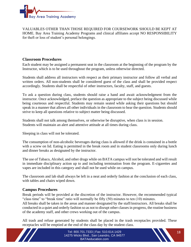

VALUABLES OTHER THAN THOSE REQUIRED FOR COURSEWORK SHOULD BE KEPT AT HOME. Bay Area Training Academy Programs and clinical affiliates accept NO RESPONSIBILITY for theft or loss of student's personal belongings.

## **Classroom Procedures**

Each student may be assigned a permanent seat in the classroom at the beginning of the program by the Instructor, which is to be used throughout the program, unless otherwise directed.

Students shall address all instructors with respect as their primary instructor and follow all verbal and written orders. All non-students shall be considered guest of the class and shall be provided respect accordingly. Students shall be respectful of other instructors, faculty, staff, and guests.

To ask a question during class, students should raise a hand and await acknowledgment from the instructor. Once acknowledged, preface the question as appropriate to the subject being discussed while being courteous and respectful. Students may remain seated while asking their questions but should speak in a manner that allows all other individuals in the classroom to hear the question. Students should strive to keep all questions relative to subject matter being discussed.

Students shall not talk among themselves, or otherwise be disruptive, when class is in session. Students will maintain an alert and attentive attitude at all times during class.

Sleeping in class will not be tolerated.

The consumption of non-alcoholic beverages during class is allowed if the drink is contained in a bottle with a screw on lid. Eating is permitted in the break room and in student classrooms only during lunch and dinner breaks as designated by the instructor.

The use of Tabaco, Alcohol, and other drugs while on BATA campus will not be tolerated and will result in immediate disciplinary action up to and including termination from the program. E-cigarettes and vapes are included in this category and shall not be used while on campus.

The classroom and lab shall always be left in a neat and orderly fashion at the conclusion of each class, with tables and chairs wiped down.

## **Campus Procedures**

Break periods will be provided at the discretion of the instructor. However, the recommended typical "class time" to "break time" ratio will normally be fifty (50) minutes to ten (10) minutes. All breaks shall be taken in the areas and manner designated by the staff/instructors. All breaks shall be conducted in a quiet and orderly fashion so as not to disrupt other classes in progress, the routine business of the academy staff, and other crews working out of the campus.

All trash and refuse generated by students shall be placed in the trash receptacles provided. These receptacles will be emptied at the end of the class day by the student class.



Tel: 800.701.7333 | Fax: 510.614.1429 18 14275 Wicks Blvd., San Leandro, CA 94577 BATAeducation.com

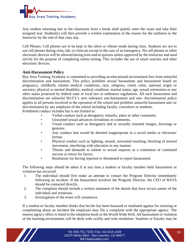

Any student returning late to the classroom from a break shall quietly enter the room and take their assigned seat. Student(s) will then provide a written explanation of the reason for the tardiness to the Instructor by the end of that class day.

Cell Phones: Cell phones are to be kept in the silent or vibrate mode during class. Students are not to use cell phones during class, lab, or clinicals except in the case of an emergency. No cell phones or other electronic devices will be allowed during tests and/or quizzes unless approved by the instructor and used strictly for the purpose of completing online testing. This includes the use of smart watches and other electronic devices.

## **Anti-Harassment Policy**

Bay Area Training Academy is committed to providing an educational environment free from unlawful discrimination and harassment. This policy prohibits sexual harassment and harassment based on pregnancy, childbirth, related medical conditions, race, religious, creed, color, national origin or ancestry; physical or mental disability; medical condition; marital status; age, sexual orientation or any other status protected by federal state or local law or ordinance regulations. All such harassment and discrimination are unlawful BATA's zero tolerance anti-harassment and anti- discrimination policy applies to all persons involved in the operation of the school and prohibits unlawful harassment and /or discrimination by any employee of the school including faculty, coworkers or students.

Prohibited conduct includes but is not limited to:

- Verbal conduct such as derogatory remarks, jokes or other comments.
- Unwanted sexual advances invitations or comments.
- Visual conduct such as derogatory and or sexually oriented images, drawings or gestures.
- Any conduct that would be deemed inappropriate in a social media or electronic format.
- Physical conduct such as fighting, assault, unwanted touching, blocking of normal movement, interfering with education in any manner.
- Threats and demands to submit to sexual requests as a contention of continued success in return for favors.
- Retaliation for having reported or threatened to report harassment.

The following steps should be taken if at any time a student or faculty member feels harassment or violation has occurred.

- 1. The individual should first make an attempt to contact the Program Director immediately following an incident. If the harassment involves the Program Director, the CEO of BATA should be contacted directly.
- 2. The complaint should include a written statement of the details that have occurs names of the individual and witnesses.
- 3. Investigation of the event will commence.

If a student or faculty member thinks that he/she has been harassed or retaliated against for resisting or complaining about an incident the employee may file a complaint with the appropriate agency. The nearest agency office is listed in the telephone book or the World Wide Web. All harassment or violation of the learning environment will be dealt with swiftly and with resolution. Students or Faculty may be

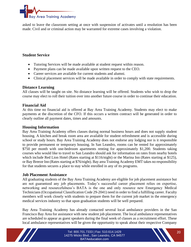

asked to leave the classroom setting at once with suspension of activates until a resolution has been made. Civil and or criminal action may be warranted for extreme cases involving a violation.

## **Student Service**

- Tutoring Services will be made available at student request within reason.
- Payment plans can be made available upon written request to the CEO.
- Career services are available for current students and alumni.
- Clinical placement services will be made available in order to comply with state requirements.

#### **Distance Learning**

All classes will be taught on site. No distance learning will be offered. Students who wish to drop the course may elect to roll their tuition over into another future course in order to continue their education.

#### **Financial Aid**

At this time no financial aid is offered at Bay Area Training Academy. Students may elect to make payments at the discretion of the CFO. If this occurs a written contract will be generated in order to clearly outline all payment dates, times and amounts.

#### **Housing Information**

Bay Area Training Academy offers classes during normal business hours and does not supply student housing. A kitchen and break room area are available for student refreshment and is accessible during school or study hours. Bay Area Training Academy does not endorse any lodging nor is it responsible to provide permanent or temporary housing. In San Leandro, rooms can be rented for approximately \$750 per month with one-bedroom apartments renting for approximately \$1,200. Students taking courses who would like to travel to San Leandro should ask for information on rates from nearby hotels which include Red Lion Hotel (Rates starting at \$116/night) or the Marina Inn (Rates starting at \$125), or Bay Breeze Inn (Rates starting at \$76/night). Bay area Training Academy EMT takes no responsibility for that students secures a place to stay while enrolled in any of its programs.

## **Job Placement Assistance**

All graduating students of the Bay Area Training Academy are eligible for job placement assistance but are not guaranteed any job placements. Today's successful career placement relies on expertise, networking and resourcefulness's BATA is the one and only resource new Emergency Medical Technicians (Occupational Classification Code 29-2041) need in order to find a fulfilling career. Faculty members will work closely with students to prepare them for the current job market in the emergency medical services industry so that upon graduation students will be well prepared.

Bay Area Training Academy has already contacted several local ambulance providers in the San Francisco Bay Area for assistance with new student job placement. The local ambulance representatives are scheduled to appear as guest speakers during the final week of classes as a recruitment effort. These local ambulance representatives will be given the opportunity to speak about their respective Company